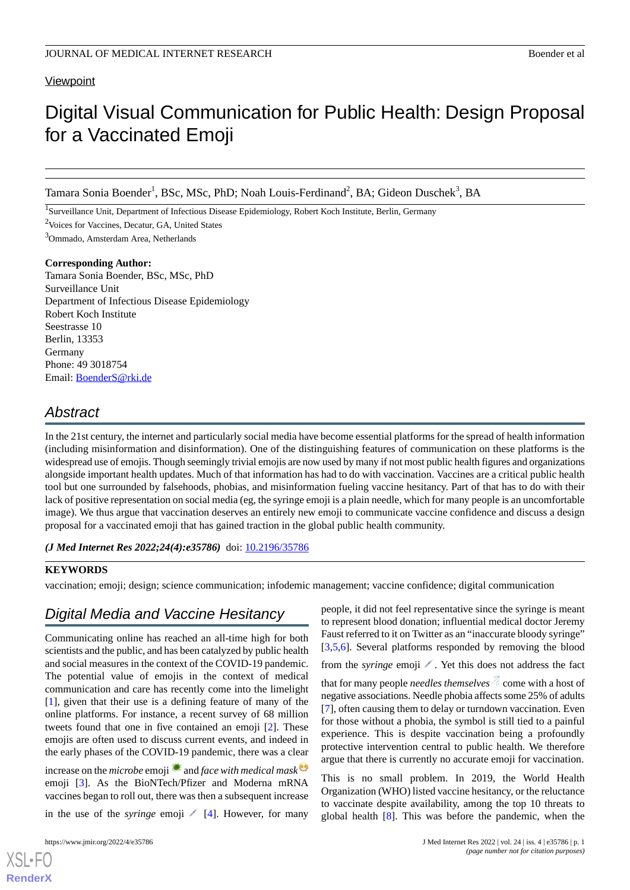## **Viewpoint**

# Digital Visual Communication for Public Health: Design Proposal for a Vaccinated Emoji

Tamara Sonia Boender<sup>1</sup>, BSc, MSc, PhD; Noah Louis-Ferdinand<sup>2</sup>, BA; Gideon Duschek<sup>3</sup>, BA

<sup>1</sup>Surveillance Unit, Department of Infectious Disease Epidemiology, Robert Koch Institute, Berlin, Germany

<sup>2</sup>Voices for Vaccines, Decatur, GA, United States

<sup>3</sup>Ommado, Amsterdam Area, Netherlands

## **Corresponding Author:**

Tamara Sonia Boender, BSc, MSc, PhD Surveillance Unit Department of Infectious Disease Epidemiology Robert Koch Institute Seestrasse 10 Berlin, 13353 Germany Phone: 49 3018754 Email: [BoenderS@rki.de](mailto:BoenderS@rki.de)

## *Abstract*

In the 21st century, the internet and particularly social media have become essential platforms for the spread of health information (including misinformation and disinformation). One of the distinguishing features of communication on these platforms is the widespread use of emojis. Though seemingly trivial emojis are now used by many if not most public health figures and organizations alongside important health updates. Much of that information has had to do with vaccination. Vaccines are a critical public health tool but one surrounded by falsehoods, phobias, and misinformation fueling vaccine hesitancy. Part of that has to do with their lack of positive representation on social media (eg, the syringe emoji is a plain needle, which for many people is an uncomfortable image). We thus argue that vaccination deserves an entirely new emoji to communicate vaccine confidence and discuss a design proposal for a vaccinated emoji that has gained traction in the global public health community.

*(J Med Internet Res 2022;24(4):e35786)* doi: **[10.2196/35786](http://dx.doi.org/10.2196/35786)** 

## **KEYWORDS**

vaccination; emoji; design; science communication; infodemic management; vaccine confidence; digital communication

## *Digital Media and Vaccine Hesitancy*

Communicating online has reached an all-time high for both scientists and the public, and has been catalyzed by public health and social measures in the context of the COVID-19 pandemic. The potential value of emojis in the context of medical communication and care has recently come into the limelight [[1\]](#page-3-0), given that their use is a defining feature of many of the online platforms. For instance, a recent survey of 68 million tweets found that one in five contained an emoji [\[2](#page-3-1)]. These emojis are often used to discuss current events, and indeed in the early phases of the COVID-19 pandemic, there was a clear

increase on the *microbe* emoji **and** *face with medical mask*<sup> $\Theta$ </sup> emoji [[3\]](#page-3-2). As the BioNTech/Pfizer and Moderna mRNA vaccines began to roll out, there was then a subsequent increase

in the use of the *syringe* emoji  $[4]$  $[4]$ . However, for many

[XSL](http://www.w3.org/Style/XSL)•FO **[RenderX](http://www.renderx.com/)**

people, it did not feel representative since the syringe is meant to represent blood donation; influential medical doctor Jeremy Faust referred to it on Twitter as an "inaccurate bloody syringe" [[3](#page-3-2)[,5,](#page-3-4)[6\]](#page-3-5). Several platforms responded by removing the blood

from the *syringe* emoji . Yet this does not address the fact that for many people *needles themselves*  $\&$  come with a host of negative associations. Needle phobia affects some 25% of adults [[7\]](#page-4-0), often causing them to delay or turndown vaccination. Even for those without a phobia, the symbol is still tied to a painful experience. This is despite vaccination being a profoundly protective intervention central to public health. We therefore argue that there is currently no accurate emoji for vaccination.

This is no small problem. In 2019, the World Health Organization (WHO) listed vaccine hesitancy, or the reluctance to vaccinate despite availability, among the top 10 threats to global health [\[8](#page-4-1)]. This was before the pandemic, when the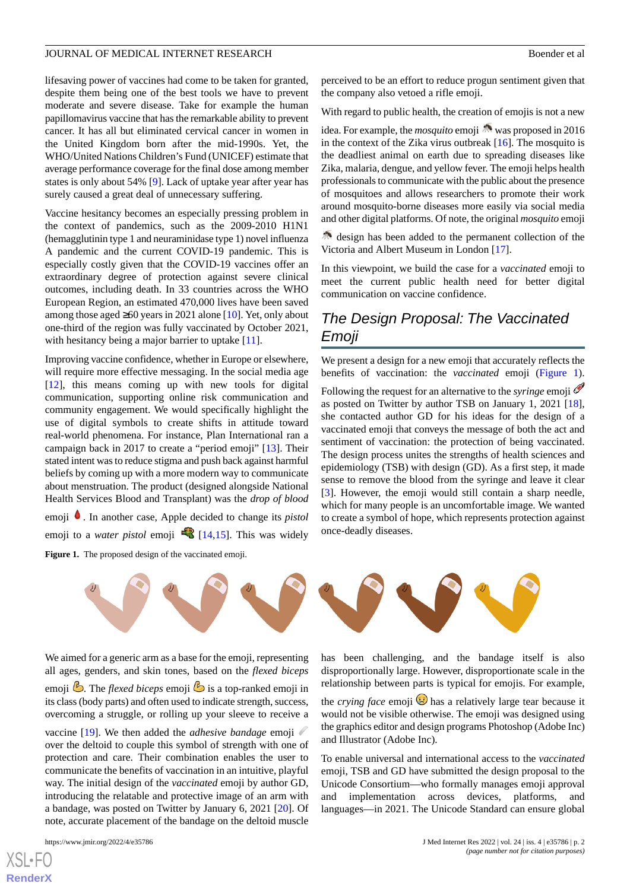lifesaving power of vaccines had come to be taken for granted, despite them being one of the best tools we have to prevent moderate and severe disease. Take for example the human papillomavirus vaccine that has the remarkable ability to prevent cancer. It has all but eliminated cervical cancer in women in the United Kingdom born after the mid-1990s. Yet, the WHO/United Nations Children's Fund (UNICEF) estimate that average performance coverage for the final dose among member states is only about 54% [\[9](#page-4-2)]. Lack of uptake year after year has surely caused a great deal of unnecessary suffering.

Vaccine hesitancy becomes an especially pressing problem in the context of pandemics, such as the 2009-2010 H1N1 (hemagglutinin type 1 and neuraminidase type 1) novel influenza A pandemic and the current COVID-19 pandemic. This is especially costly given that the COVID-19 vaccines offer an extraordinary degree of protection against severe clinical outcomes, including death. In 33 countries across the WHO European Region, an estimated 470,000 lives have been saved among those aged ≥60 years in 2021 alone [\[10](#page-4-3)]. Yet, only about one-third of the region was fully vaccinated by October 2021, with hesitancy being a major barrier to uptake [\[11](#page-4-4)].

Improving vaccine confidence, whether in Europe or elsewhere, will require more effective messaging. In the social media age [[12\]](#page-4-5), this means coming up with new tools for digital communication, supporting online risk communication and community engagement. We would specifically highlight the use of digital symbols to create shifts in attitude toward real-world phenomena. For instance, Plan International ran a campaign back in 2017 to create a "period emoji" [\[13](#page-4-6)]. Their stated intent was to reduce stigma and push back against harmful beliefs by coming up with a more modern way to communicate about menstruation. The product (designed alongside National Health Services Blood and Transplant) was the *drop of blood*

<span id="page-1-0"></span>emoji  $\bullet$ . In another case, Apple decided to change its *pistol* emoji to a *water pistol* emoji **[\[14](#page-4-7),[15\]](#page-4-8)**. This was widely Figure 1. The proposed design of the vaccinated emoji

perceived to be an effort to reduce progun sentiment given that the company also vetoed a rifle emoji.

With regard to public health, the creation of emojis is not a new

idea. For example, the *mosquito* emoji **W** was proposed in 2016 in the context of the Zika virus outbreak [\[16](#page-4-9)]. The mosquito is the deadliest animal on earth due to spreading diseases like Zika, malaria, dengue, and yellow fever. The emoji helps health professionals to communicate with the public about the presence of mosquitoes and allows researchers to promote their work around mosquito-borne diseases more easily via social media and other digital platforms. Of note, the original *mosquito* emoji

 $\triangle$  design has been added to the permanent collection of the Victoria and Albert Museum in London [\[17](#page-4-10)].

In this viewpoint, we build the case for a *vaccinated* emoji to meet the current public health need for better digital communication on vaccine confidence.

## *The Design Proposal: The Vaccinated Emoji*

We present a design for a new emoji that accurately reflects the benefits of vaccination: the *vaccinated* emoji ([Figure 1\)](#page-1-0). Following the request for an alternative to the *syringe* emoji as posted on Twitter by author TSB on January 1, 2021 [[18\]](#page-4-11), she contacted author GD for his ideas for the design of a vaccinated emoji that conveys the message of both the act and sentiment of vaccination: the protection of being vaccinated. The design process unites the strengths of health sciences and epidemiology (TSB) with design (GD). As a first step, it made sense to remove the blood from the syringe and leave it clear [[3\]](#page-3-2). However, the emoji would still contain a sharp needle, which for many people is an uncomfortable image. We wanted to create a symbol of hope, which represents protection against once-deadly diseases.



We aimed for a generic arm as a base for the emoji, representing all ages, genders, and skin tones, based on the *flexed biceps* emoji . The *flexed biceps* emoji is a top-ranked emoji in its class (body parts) and often used to indicate strength, success, overcoming a struggle, or rolling up your sleeve to receive a vaccine [[19\]](#page-4-12). We then added the *adhesive bandage* emoji over the deltoid to couple this symbol of strength with one of protection and care. Their combination enables the user to communicate the benefits of vaccination in an intuitive, playful way. The initial design of the *vaccinated* emoji by author GD, introducing the relatable and protective image of an arm with

a bandage, was posted on Twitter by January 6, 2021 [\[20](#page-4-13)]. Of note, accurate placement of the bandage on the deltoid muscle

has been challenging, and the bandage itself is also disproportionally large. However, disproportionate scale in the relationship between parts is typical for emojis. For example,

the *crying face* emoji  $\ddot{\mathbf{v}}$  has a relatively large tear because it would not be visible otherwise. The emoji was designed using the graphics editor and design programs Photoshop (Adobe Inc) and Illustrator (Adobe Inc).

To enable universal and international access to the *vaccinated* emoji, TSB and GD have submitted the design proposal to the Unicode Consortium—who formally manages emoji approval and implementation across devices, platforms, and languages—in 2021. The Unicode Standard can ensure global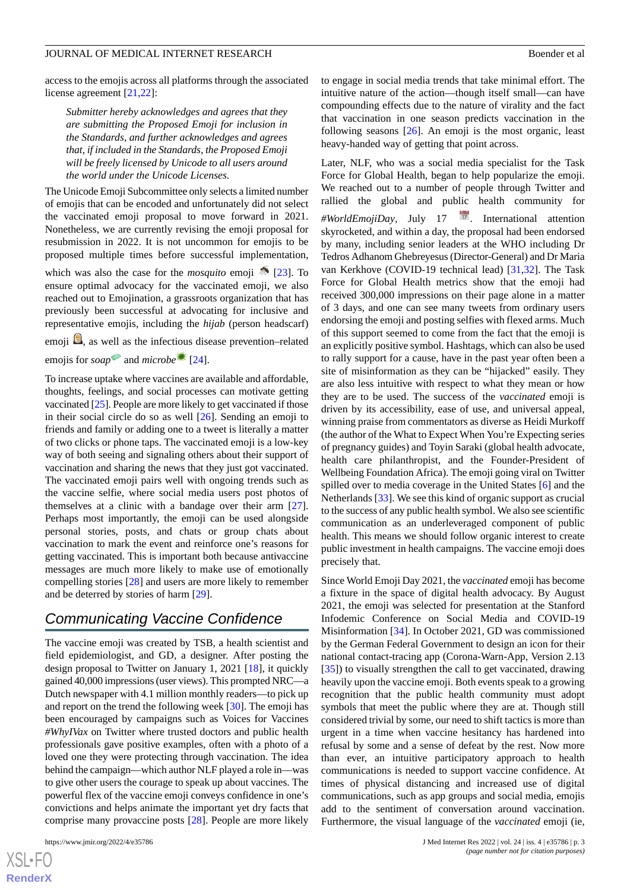access to the emojis across all platforms through the associated license agreement [\[21](#page-4-14),[22\]](#page-4-15):

*Submitter hereby acknowledges and agrees that they are submitting the Proposed Emoji for inclusion in the Standards, and further acknowledges and agrees that, if included in the Standards, the Proposed Emoji will be freely licensed by Unicode to all users around the world under the Unicode Licenses.*

The Unicode Emoji Subcommittee only selects a limited number of emojis that can be encoded and unfortunately did not select the vaccinated emoji proposal to move forward in 2021. Nonetheless, we are currently revising the emoji proposal for resubmission in 2022. It is not uncommon for emojis to be proposed multiple times before successful implementation,

which was also the case for the *mosquito* emoji  $\sqrt{\frac{23}{1}}$ . To ensure optimal advocacy for the vaccinated emoji, we also reached out to Emojination, a grassroots organization that has previously been successful at advocating for inclusive and representative emojis, including the *hijab* (person headscarf)

emoji  $\Omega$ , as well as the infectious disease prevention–related emojis for *soap* and *microbe* [\[24](#page-4-17)].

To increase uptake where vaccines are available and affordable, thoughts, feelings, and social processes can motivate getting vaccinated [\[25](#page-4-18)]. People are more likely to get vaccinated if those in their social circle do so as well [\[26](#page-4-19)]. Sending an emoji to friends and family or adding one to a tweet is literally a matter of two clicks or phone taps. The vaccinated emoji is a low-key way of both seeing and signaling others about their support of vaccination and sharing the news that they just got vaccinated. The vaccinated emoji pairs well with ongoing trends such as the vaccine selfie, where social media users post photos of themselves at a clinic with a bandage over their arm [[27\]](#page-4-20). Perhaps most importantly, the emoji can be used alongside personal stories, posts, and chats or group chats about vaccination to mark the event and reinforce one's reasons for getting vaccinated. This is important both because antivaccine messages are much more likely to make use of emotionally compelling stories [[28\]](#page-4-21) and users are more likely to remember and be deterred by stories of harm [[29\]](#page-4-22).

## *Communicating Vaccine Confidence*

The vaccine emoji was created by TSB, a health scientist and field epidemiologist, and GD, a designer. After posting the design proposal to Twitter on January 1, 2021 [\[18](#page-4-11)], it quickly gained 40,000 impressions (user views). This prompted NRC—a Dutch newspaper with 4.1 million monthly readers—to pick up and report on the trend the following week [\[30](#page-4-23)]. The emoji has been encouraged by campaigns such as Voices for Vaccines *#WhyIVax* on Twitter where trusted doctors and public health professionals gave positive examples, often with a photo of a loved one they were protecting through vaccination. The idea behind the campaign—which author NLF played a role in—was to give other users the courage to speak up about vaccines. The powerful flex of the vaccine emoji conveys confidence in one's convictions and helps animate the important yet dry facts that comprise many provaccine posts [[28\]](#page-4-21). People are more likely

 $XS$  • FO **[RenderX](http://www.renderx.com/)**

to engage in social media trends that take minimal effort. The intuitive nature of the action—though itself small—can have compounding effects due to the nature of virality and the fact that vaccination in one season predicts vaccination in the following seasons [\[26](#page-4-19)]. An emoji is the most organic, least heavy-handed way of getting that point across.

Later, NLF, who was a social media specialist for the Task Force for Global Health, began to help popularize the emoji. We reached out to a number of people through Twitter and rallied the global and public health community for *#WorldEmojiDay*, July 17 . International attention skyrocketed, and within a day, the proposal had been endorsed by many, including senior leaders at the WHO including Dr Tedros Adhanom Ghebreyesus (Director-General) and Dr Maria van Kerkhove (COVID-19 technical lead) [[31,](#page-4-24)[32](#page-5-0)]. The Task Force for Global Health metrics show that the emoji had received 300,000 impressions on their page alone in a matter of 3 days, and one can see many tweets from ordinary users endorsing the emoji and posting selfies with flexed arms. Much of this support seemed to come from the fact that the emoji is an explicitly positive symbol. Hashtags, which can also be used to rally support for a cause, have in the past year often been a site of misinformation as they can be "hijacked" easily. They are also less intuitive with respect to what they mean or how they are to be used. The success of the *vaccinated* emoji is driven by its accessibility, ease of use, and universal appeal, winning praise from commentators as diverse as Heidi Murkoff (the author of the What to Expect When You're Expecting series of pregnancy guides) and Toyin Saraki (global health advocate, health care philanthropist, and the Founder-President of Wellbeing Foundation Africa). The emoji going viral on Twitter spilled over to media coverage in the United States [[6\]](#page-3-5) and the Netherlands [\[33](#page-5-1)]. We see this kind of organic support as crucial to the success of any public health symbol. We also see scientific communication as an underleveraged component of public health. This means we should follow organic interest to create public investment in health campaigns. The vaccine emoji does precisely that.

Since World Emoji Day 2021, the *vaccinated* emoji has become a fixture in the space of digital health advocacy. By August 2021, the emoji was selected for presentation at the Stanford Infodemic Conference on Social Media and COVID-19 Misinformation [\[34](#page-5-2)]. In October 2021, GD was commissioned by the German Federal Government to design an icon for their national contact-tracing app (Corona-Warn-App, Version 2.13 [[35\]](#page-5-3)) to visually strengthen the call to get vaccinated, drawing heavily upon the vaccine emoji. Both events speak to a growing recognition that the public health community must adopt symbols that meet the public where they are at. Though still considered trivial by some, our need to shift tactics is more than urgent in a time when vaccine hesitancy has hardened into refusal by some and a sense of defeat by the rest. Now more than ever, an intuitive participatory approach to health communications is needed to support vaccine confidence. At times of physical distancing and increased use of digital communications, such as app groups and social media, emojis add to the sentiment of conversation around vaccination. Furthermore, the visual language of the *vaccinated* emoji (ie,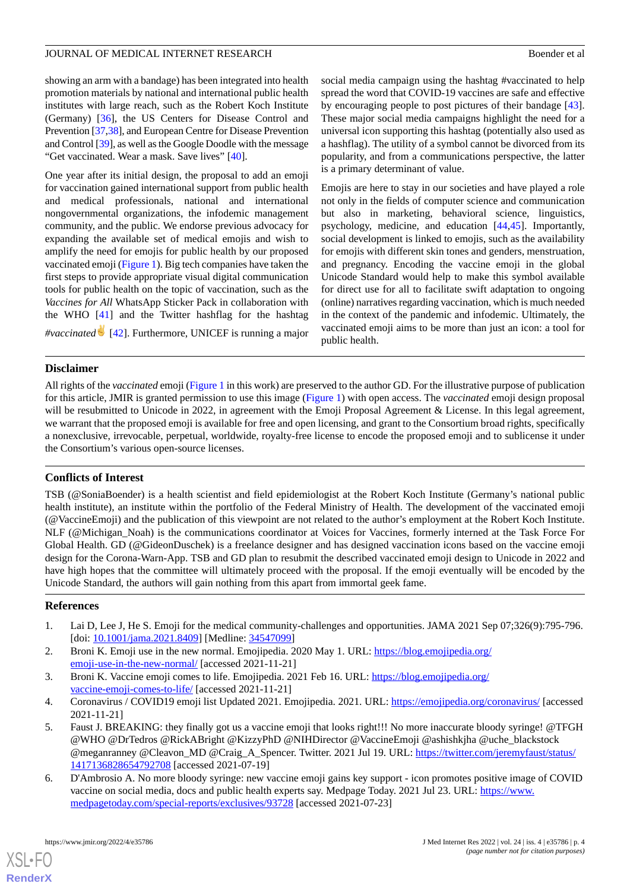showing an arm with a bandage) has been integrated into health promotion materials by national and international public health institutes with large reach, such as the Robert Koch Institute (Germany) [[36\]](#page-5-4), the US Centers for Disease Control and Prevention [[37,](#page-5-5)[38](#page-5-6)], and European Centre for Disease Prevention and Control [[39](#page-5-7)], as well as the Google Doodle with the message "Get vaccinated. Wear a mask. Save lives" [\[40](#page-5-8)].

One year after its initial design, the proposal to add an emoji for vaccination gained international support from public health and medical professionals, national and international nongovernmental organizations, the infodemic management community, and the public. We endorse previous advocacy for expanding the available set of medical emojis and wish to amplify the need for emojis for public health by our proposed vaccinated emoji ([Figure 1](#page-1-0)). Big tech companies have taken the first steps to provide appropriate visual digital communication tools for public health on the topic of vaccination, such as the *Vaccines for All* WhatsApp Sticker Pack in collaboration with the WHO [[41\]](#page-5-9) and the Twitter hashflag for the hashtag *#vaccinated* [[42\]](#page-5-10). Furthermore, UNICEF is running a major social media campaign using the hashtag #vaccinated to help spread the word that COVID-19 vaccines are safe and effective by encouraging people to post pictures of their bandage [[43\]](#page-5-11). These major social media campaigns highlight the need for a universal icon supporting this hashtag (potentially also used as a hashflag). The utility of a symbol cannot be divorced from its popularity, and from a communications perspective, the latter is a primary determinant of value.

Emojis are here to stay in our societies and have played a role not only in the fields of computer science and communication but also in marketing, behavioral science, linguistics, psychology, medicine, and education [[44](#page-5-12)[,45](#page-5-13)]. Importantly, social development is linked to emojis, such as the availability for emojis with different skin tones and genders, menstruation, and pregnancy. Encoding the vaccine emoji in the global Unicode Standard would help to make this symbol available for direct use for all to facilitate swift adaptation to ongoing (online) narratives regarding vaccination, which is much needed in the context of the pandemic and infodemic. Ultimately, the vaccinated emoji aims to be more than just an icon: a tool for public health.

## **Disclaimer**

All rights of the *vaccinated* emoji [\(Figure 1](#page-1-0) in this work) are preserved to the author GD. For the illustrative purpose of publication for this article, JMIR is granted permission to use this image [\(Figure 1\)](#page-1-0) with open access. The *vaccinated* emoji design proposal will be resubmitted to Unicode in 2022, in agreement with the Emoji Proposal Agreement & License. In this legal agreement, we warrant that the proposed emoji is available for free and open licensing, and grant to the Consortium broad rights, specifically a nonexclusive, irrevocable, perpetual, worldwide, royalty-free license to encode the proposed emoji and to sublicense it under the Consortium's various open-source licenses.

## **Conflicts of Interest**

TSB (@SoniaBoender) is a health scientist and field epidemiologist at the Robert Koch Institute (Germany's national public health institute), an institute within the portfolio of the Federal Ministry of Health. The development of the vaccinated emoji (@VaccineEmoji) and the publication of this viewpoint are not related to the author's employment at the Robert Koch Institute. NLF (@Michigan\_Noah) is the communications coordinator at Voices for Vaccines, formerly interned at the Task Force For Global Health. GD (@GideonDuschek) is a freelance designer and has designed vaccination icons based on the vaccine emoji design for the Corona-Warn-App. TSB and GD plan to resubmit the described vaccinated emoji design to Unicode in 2022 and have high hopes that the committee will ultimately proceed with the proposal. If the emoji eventually will be encoded by the Unicode Standard, the authors will gain nothing from this apart from immortal geek fame.

## <span id="page-3-2"></span><span id="page-3-1"></span><span id="page-3-0"></span>**References**

- <span id="page-3-3"></span>1. Lai D, Lee J, He S. Emoji for the medical community-challenges and opportunities. JAMA 2021 Sep 07;326(9):795-796. [doi: [10.1001/jama.2021.8409\]](http://dx.doi.org/10.1001/jama.2021.8409) [Medline: [34547099](http://www.ncbi.nlm.nih.gov/entrez/query.fcgi?cmd=Retrieve&db=PubMed&list_uids=34547099&dopt=Abstract)]
- <span id="page-3-4"></span>2. Broni K. Emoji use in the new normal. Emojipedia. 2020 May 1. URL: [https://blog.emojipedia.org/](https://blog.emojipedia.org/emoji-use-in-the-new-normal/) [emoji-use-in-the-new-normal/](https://blog.emojipedia.org/emoji-use-in-the-new-normal/) [accessed 2021-11-21]
- 3. Broni K. Vaccine emoji comes to life. Emojipedia. 2021 Feb 16. URL: [https://blog.emojipedia.org/](https://blog.emojipedia.org/vaccine-emoji-comes-to-life/) [vaccine-emoji-comes-to-life/](https://blog.emojipedia.org/vaccine-emoji-comes-to-life/) [accessed 2021-11-21]
- <span id="page-3-5"></span>4. Coronavirus / COVID19 emoji list Updated 2021. Emojipedia. 2021. URL: <https://emojipedia.org/coronavirus/> [accessed 2021-11-21]
- 5. Faust J. BREAKING: they finally got us a vaccine emoji that looks right!!! No more inaccurate bloody syringe! @TFGH @WHO @DrTedros @RickABright @KizzyPhD @NIHDirector @VaccineEmoji @ashishkjha @uche\_blackstock @meganranney @Cleavon\_MD @Craig\_A\_Spencer. Twitter. 2021 Jul 19. URL: [https://twitter.com/jeremyfaust/status/](https://twitter.com/jeremyfaust/status/1417136828654792708) [1417136828654792708](https://twitter.com/jeremyfaust/status/1417136828654792708) [accessed 2021-07-19]
- 6. D'Ambrosio A. No more bloody syringe: new vaccine emoji gains key support icon promotes positive image of COVID vaccine on social media, docs and public health experts say. Medpage Today. 2021 Jul 23. URL: [https://www.](https://www.medpagetoday.com/special-reports/exclusives/93728) [medpagetoday.com/special-reports/exclusives/93728](https://www.medpagetoday.com/special-reports/exclusives/93728) [accessed 2021-07-23]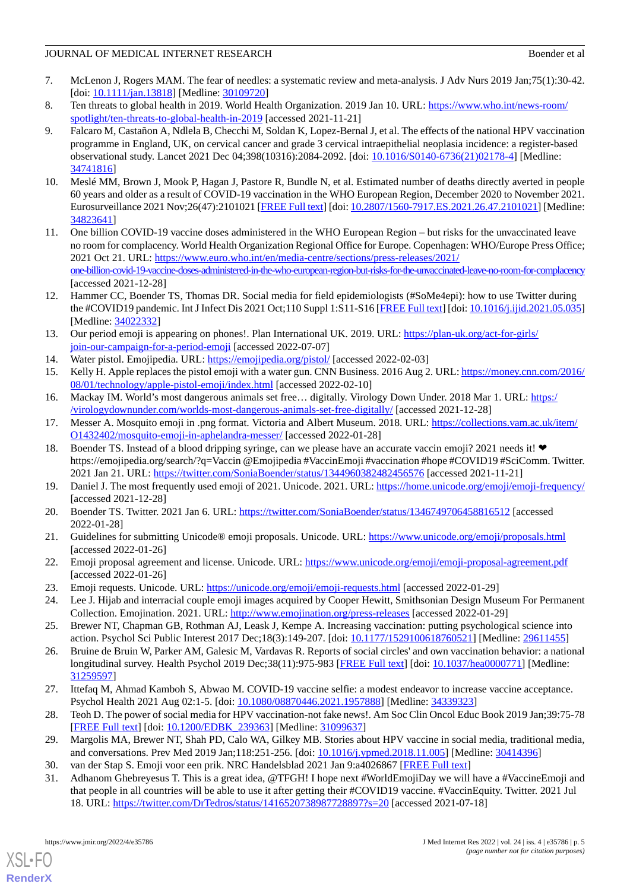## JOURNAL OF MEDICAL INTERNET RESEARCH Boender et al

- <span id="page-4-0"></span>7. McLenon J, Rogers MAM. The fear of needles: a systematic review and meta-analysis. J Adv Nurs 2019 Jan;75(1):30-42. [doi: [10.1111/jan.13818\]](http://dx.doi.org/10.1111/jan.13818) [Medline: [30109720\]](http://www.ncbi.nlm.nih.gov/entrez/query.fcgi?cmd=Retrieve&db=PubMed&list_uids=30109720&dopt=Abstract)
- <span id="page-4-2"></span><span id="page-4-1"></span>8. Ten threats to global health in 2019. World Health Organization. 2019 Jan 10. URL: [https://www.who.int/news-room/](https://www.who.int/news-room/spotlight/ten-threats-to-global-health-in-2019) [spotlight/ten-threats-to-global-health-in-2019](https://www.who.int/news-room/spotlight/ten-threats-to-global-health-in-2019) [accessed 2021-11-21]
- 9. Falcaro M, Castañon A, Ndlela B, Checchi M, Soldan K, Lopez-Bernal J, et al. The effects of the national HPV vaccination programme in England, UK, on cervical cancer and grade 3 cervical intraepithelial neoplasia incidence: a register-based observational study. Lancet 2021 Dec 04;398(10316):2084-2092. [doi: [10.1016/S0140-6736\(21\)02178-4\]](http://dx.doi.org/10.1016/S0140-6736(21)02178-4) [Medline: [34741816](http://www.ncbi.nlm.nih.gov/entrez/query.fcgi?cmd=Retrieve&db=PubMed&list_uids=34741816&dopt=Abstract)]
- <span id="page-4-3"></span>10. Meslé MM, Brown J, Mook P, Hagan J, Pastore R, Bundle N, et al. Estimated number of deaths directly averted in people 60 years and older as a result of COVID-19 vaccination in the WHO European Region, December 2020 to November 2021. Eurosurveillance 2021 Nov;26(47):2101021 [[FREE Full text\]](http://www.eurosurveillance.org/content/10.2807/1560-7917.ES.2021.26.47.2101021) [doi: [10.2807/1560-7917.ES.2021.26.47.2101021](http://dx.doi.org/10.2807/1560-7917.ES.2021.26.47.2101021)] [Medline: [34823641](http://www.ncbi.nlm.nih.gov/entrez/query.fcgi?cmd=Retrieve&db=PubMed&list_uids=34823641&dopt=Abstract)]
- <span id="page-4-4"></span>11. One billion COVID-19 vaccine doses administered in the WHO European Region – but risks for the unvaccinated leave no room for complacency. World Health Organization Regional Office for Europe. Copenhagen: WHO/Europe Press Office; 2021 Oct 21. URL: [https://www.euro.who.int/en/media-centre/sections/press-releases/2021/](https://www.euro.who.int/en/media-centre/sections/press-releases/2021/one-billion-covid-19-vaccine-doses-administered-in-the-who-european-region-but-risks-for-the-unvaccinated-leave-no-room-for-complacency) [one-billion-covid-19-vaccine-doses-administered-in-the-who-european-region-but-risks-for-the-unvaccinated-leave-no-room-for-complacency](https://www.euro.who.int/en/media-centre/sections/press-releases/2021/one-billion-covid-19-vaccine-doses-administered-in-the-who-european-region-but-risks-for-the-unvaccinated-leave-no-room-for-complacency) [accessed 2021-12-28]
- <span id="page-4-6"></span><span id="page-4-5"></span>12. Hammer CC, Boender TS, Thomas DR. Social media for field epidemiologists (#SoMe4epi): how to use Twitter during the #COVID19 pandemic. Int J Infect Dis 2021 Oct;110 Suppl 1:S11-S16 [\[FREE Full text](https://linkinghub.elsevier.com/retrieve/pii/S1201-9712(21)00437-9)] [doi: [10.1016/j.ijid.2021.05.035\]](http://dx.doi.org/10.1016/j.ijid.2021.05.035) [Medline: [34022332](http://www.ncbi.nlm.nih.gov/entrez/query.fcgi?cmd=Retrieve&db=PubMed&list_uids=34022332&dopt=Abstract)]
- <span id="page-4-8"></span><span id="page-4-7"></span>13. Our period emoji is appearing on phones!. Plan International UK. 2019. URL: [https://plan-uk.org/act-for-girls/](https://plan-uk.org/act-for-girls/join-our-campaign-for-a-period-emoji) [join-our-campaign-for-a-period-emoji](https://plan-uk.org/act-for-girls/join-our-campaign-for-a-period-emoji) [accessed 2022-07-07]
- <span id="page-4-9"></span>14. Water pistol. Emojipedia. URL:<https://emojipedia.org/pistol/> [accessed 2022-02-03]
- <span id="page-4-10"></span>15. Kelly H. Apple replaces the pistol emoji with a water gun. CNN Business. 2016 Aug 2. URL: [https://money.cnn.com/2016/](https://money.cnn.com/2016/08/01/technology/apple-pistol-emoji/index.html) [08/01/technology/apple-pistol-emoji/index.html](https://money.cnn.com/2016/08/01/technology/apple-pistol-emoji/index.html) [accessed 2022-02-10]
- <span id="page-4-11"></span>16. Mackay IM. World's most dangerous animals set free… digitally. Virology Down Under. 2018 Mar 1. URL: [https:/](https://virologydownunder.com/worlds-most-dangerous-animals-set-free-digitally/) [/virologydownunder.com/worlds-most-dangerous-animals-set-free-digitally/](https://virologydownunder.com/worlds-most-dangerous-animals-set-free-digitally/) [accessed 2021-12-28]
- 17. Messer A. Mosquito emoji in .png format. Victoria and Albert Museum. 2018. URL: [https://collections.vam.ac.uk/item/](https://collections.vam.ac.uk/item/O1432402/mosquito-emoji-in-aphelandra-messer/) [O1432402/mosquito-emoji-in-aphelandra-messer/](https://collections.vam.ac.uk/item/O1432402/mosquito-emoji-in-aphelandra-messer/) [accessed 2022-01-28]
- <span id="page-4-13"></span><span id="page-4-12"></span>18. Boender TS. Instead of a blood dripping syringe, can we please have an accurate vaccin emoji? 2021 needs it! https://emojipedia.org/search/?q=Vaccin @Emojipedia #VaccinEmoji #vaccination #hope #COVID19 #SciComm. Twitter. 2021 Jan 21. URL:<https://twitter.com/SoniaBoender/status/1344960382482456576> [accessed 2021-11-21]
- <span id="page-4-14"></span>19. Daniel J. The most frequently used emoji of 2021. Unicode. 2021. URL:<https://home.unicode.org/emoji/emoji-frequency/> [accessed 2021-12-28]
- <span id="page-4-15"></span>20. Boender TS. Twitter. 2021 Jan 6. URL:<https://twitter.com/SoniaBoender/status/1346749706458816512> [accessed 2022-01-28]
- <span id="page-4-17"></span><span id="page-4-16"></span>21. Guidelines for submitting Unicode® emoji proposals. Unicode. URL:<https://www.unicode.org/emoji/proposals.html> [accessed 2022-01-26]
- <span id="page-4-18"></span>22. Emoji proposal agreement and license. Unicode. URL:<https://www.unicode.org/emoji/emoji-proposal-agreement.pdf> [accessed 2022-01-26]
- <span id="page-4-19"></span>23. Emoji requests. Unicode. URL:<https://unicode.org/emoji/emoji-requests.html> [accessed 2022-01-29]
- 24. Lee J. Hijab and interracial couple emoji images acquired by Cooper Hewitt, Smithsonian Design Museum For Permanent Collection. Emojination. 2021. URL: <http://www.emojination.org/press-releases> [accessed 2022-01-29]
- <span id="page-4-20"></span>25. Brewer NT, Chapman GB, Rothman AJ, Leask J, Kempe A. Increasing vaccination: putting psychological science into action. Psychol Sci Public Interest 2017 Dec;18(3):149-207. [doi: [10.1177/1529100618760521\]](http://dx.doi.org/10.1177/1529100618760521) [Medline: [29611455](http://www.ncbi.nlm.nih.gov/entrez/query.fcgi?cmd=Retrieve&db=PubMed&list_uids=29611455&dopt=Abstract)]
- <span id="page-4-22"></span><span id="page-4-21"></span>26. Bruine de Bruin W, Parker AM, Galesic M, Vardavas R. Reports of social circles' and own vaccination behavior: a national longitudinal survey. Health Psychol 2019 Dec;38(11):975-983 [\[FREE Full text\]](http://europepmc.org/abstract/MED/31259597) [doi: [10.1037/hea0000771](http://dx.doi.org/10.1037/hea0000771)] [Medline: [31259597](http://www.ncbi.nlm.nih.gov/entrez/query.fcgi?cmd=Retrieve&db=PubMed&list_uids=31259597&dopt=Abstract)]
- <span id="page-4-24"></span><span id="page-4-23"></span>27. Ittefaq M, Ahmad Kamboh S, Abwao M. COVID-19 vaccine selfie: a modest endeavor to increase vaccine acceptance. Psychol Health 2021 Aug 02:1-5. [doi: [10.1080/08870446.2021.1957888\]](http://dx.doi.org/10.1080/08870446.2021.1957888) [Medline: [34339323\]](http://www.ncbi.nlm.nih.gov/entrez/query.fcgi?cmd=Retrieve&db=PubMed&list_uids=34339323&dopt=Abstract)
- 28. Teoh D. The power of social media for HPV vaccination-not fake news!. Am Soc Clin Oncol Educ Book 2019 Jan;39:75-78 [[FREE Full text](https://ascopubs.org/doi/10.1200/EDBK_239363?url_ver=Z39.88-2003&rfr_id=ori:rid:crossref.org&rfr_dat=cr_pub%3dpubmed)] [doi: [10.1200/EDBK\\_239363\]](http://dx.doi.org/10.1200/EDBK_239363) [Medline: [31099637\]](http://www.ncbi.nlm.nih.gov/entrez/query.fcgi?cmd=Retrieve&db=PubMed&list_uids=31099637&dopt=Abstract)
- 29. Margolis MA, Brewer NT, Shah PD, Calo WA, Gilkey MB. Stories about HPV vaccine in social media, traditional media, and conversations. Prev Med 2019 Jan;118:251-256. [doi: [10.1016/j.ypmed.2018.11.005\]](http://dx.doi.org/10.1016/j.ypmed.2018.11.005) [Medline: [30414396](http://www.ncbi.nlm.nih.gov/entrez/query.fcgi?cmd=Retrieve&db=PubMed&list_uids=30414396&dopt=Abstract)]
- 30. van der Stap S. Emoji voor een prik. NRC Handelsblad 2021 Jan 9:a4026867 [\[FREE Full text\]](https://www.nrc.nl/nieuws/2021/01/09/emoji-voor-een-prik-a4026867)
- 31. Adhanom Ghebreyesus T. This is a great idea, @TFGH! I hope next #WorldEmojiDay we will have a #VaccineEmoji and that people in all countries will be able to use it after getting their #COVID19 vaccine. #VaccinEquity. Twitter. 2021 Jul 18. URL: <https://twitter.com/DrTedros/status/1416520738987728897?s=20> [accessed 2021-07-18]